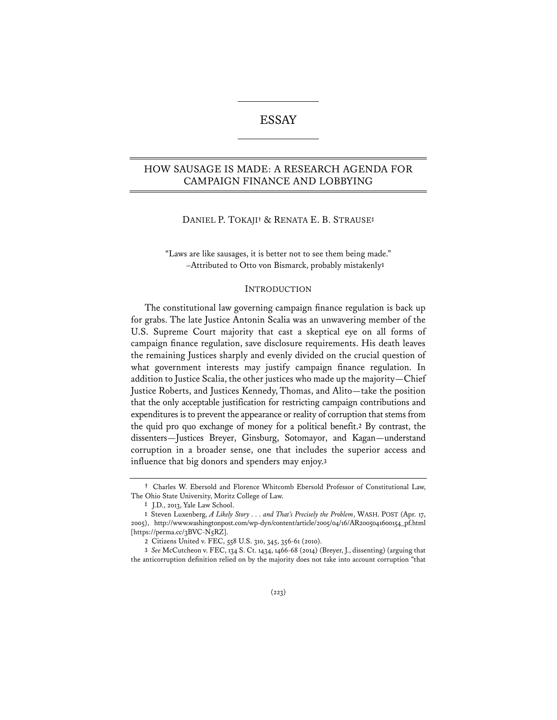# ESSAY

# HOW SAUSAGE IS MADE: A RESEARCH AGENDA FOR CAMPAIGN FINANCE AND LOBBYING

#### DANIEL P. TOKAJI**†** & RENATA E. B. STRAUSE**‡**

"Laws are like sausages, it is better not to see them being made." –Attributed to Otto von Bismarck, probably mistakenly**<sup>1</sup>**

#### INTRODUCTION

The constitutional law governing campaign finance regulation is back up for grabs. The late Justice Antonin Scalia was an unwavering member of the U.S. Supreme Court majority that cast a skeptical eye on all forms of campaign finance regulation, save disclosure requirements. His death leaves the remaining Justices sharply and evenly divided on the crucial question of what government interests may justify campaign finance regulation. In addition to Justice Scalia, the other justices who made up the majority—Chief Justice Roberts, and Justices Kennedy, Thomas, and Alito—take the position that the only acceptable justification for restricting campaign contributions and expenditures is to prevent the appearance or reality of corruption that stems from the quid pro quo exchange of money for a political benefit.**<sup>2</sup>** By contrast, the dissenters—Justices Breyer, Ginsburg, Sotomayor, and Kagan—understand corruption in a broader sense, one that includes the superior access and influence that big donors and spenders may enjoy.**<sup>3</sup>**

**<sup>†</sup>** Charles W. Ebersold and Florence Whitcomb Ebersold Professor of Constitutional Law, The Ohio State University, Moritz College of Law.

**<sup>‡</sup>** J.D., 2013, Yale Law School.

**<sup>1</sup>** Steven Luxenberg, *A Likely Story . . . and That's Precisely the Problem*, WASH. POST (Apr. 17, 2005), http://www.washingtonpost.com/wp-dyn/content/article/2005/04/16/AR2005041600154\_pf.html [https://perma.cc/3BVC-N5RZ].

**<sup>2</sup>** Citizens United v. FEC, 558 U.S. 310, 345, 356-61 (2010).

**<sup>3</sup>** *See* McCutcheon v. FEC, 134 S. Ct. 1434, 1466-68 (2014) (Breyer, J., dissenting) (arguing that the anticorruption definition relied on by the majority does not take into account corruption "that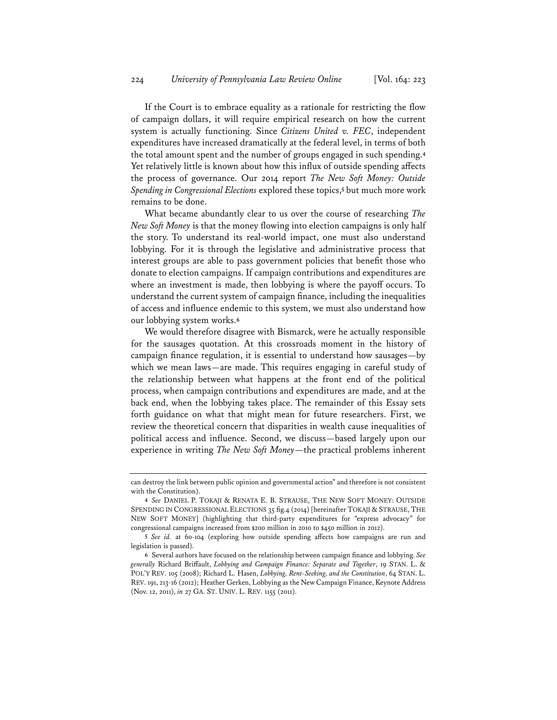If the Court is to embrace equality as a rationale for restricting the flow of campaign dollars, it will require empirical research on how the current system is actually functioning. Since *Citizens United v. FEC*, independent expenditures have increased dramatically at the federal level, in terms of both the total amount spent and the number of groups engaged in such spending.**<sup>4</sup>** Yet relatively little is known about how this influx of outside spending affects the process of governance. Our 2014 report *The New Soft Money: Outside Spending in Congressional Elections* explored these topics,**<sup>5</sup>** but much more work remains to be done.

What became abundantly clear to us over the course of researching *The New Soft Money* is that the money flowing into election campaigns is only half the story. To understand its real-world impact, one must also understand lobbying. For it is through the legislative and administrative process that interest groups are able to pass government policies that benefit those who donate to election campaigns. If campaign contributions and expenditures are where an investment is made, then lobbying is where the payoff occurs. To understand the current system of campaign finance, including the inequalities of access and influence endemic to this system, we must also understand how our lobbying system works.**<sup>6</sup>**

We would therefore disagree with Bismarck, were he actually responsible for the sausages quotation. At this crossroads moment in the history of campaign finance regulation, it is essential to understand how sausages—by which we mean laws—are made. This requires engaging in careful study of the relationship between what happens at the front end of the political process, when campaign contributions and expenditures are made, and at the back end, when the lobbying takes place. The remainder of this Essay sets forth guidance on what that might mean for future researchers. First, we review the theoretical concern that disparities in wealth cause inequalities of political access and influence. Second, we discuss—based largely upon our experience in writing *The New Soft Money*—the practical problems inherent

can destroy the link between public opinion and governmental action" and therefore is not consistent with the Constitution).

**<sup>4</sup>** *See* DANIEL P. TOKAJI & RENATA E. B. STRAUSE, THE NEW SOFT MONEY: OUTSIDE SPENDING IN CONGRESSIONAL ELECTIONS 35 fig.4 (2014) [hereinafter TOKAJI & STRAUSE, THE NEW SOFT MONEY] (highlighting that third-party expenditures for "express advocacy" for congressional campaigns increased from \$200 million in 2010 to \$450 million in 2012).

**<sup>5</sup>** *See id.* at 60-104 (exploring how outside spending affects how campaigns are run and legislation is passed).

**<sup>6</sup>** Several authors have focused on the relationship between campaign finance and lobbying. *See generally* Richard Briffault, *Lobbying and Campaign Finance: Separate and Together*, 19 STAN. L. & POL'Y REV. 105 (2008); Richard L. Hasen, *Lobbying, Rent-Seeking, and the Constitution*, 64 STAN. L. REV. 191, 213-16 (2012); Heather Gerken, Lobbying as the New Campaign Finance, Keynote Address (Nov. 12, 2011), *in* 27 GA. ST. UNIV. L. REV. 1155 (2011).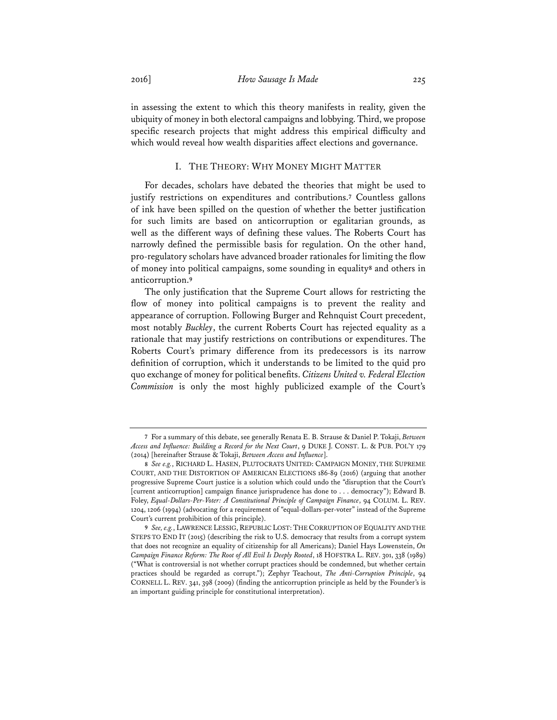in assessing the extent to which this theory manifests in reality, given the ubiquity of money in both electoral campaigns and lobbying. Third, we propose specific research projects that might address this empirical difficulty and which would reveal how wealth disparities affect elections and governance.

### I. THE THEORY: WHY MONEY MIGHT MATTER

For decades, scholars have debated the theories that might be used to justify restrictions on expenditures and contributions.**<sup>7</sup>** Countless gallons of ink have been spilled on the question of whether the better justification for such limits are based on anticorruption or egalitarian grounds, as well as the different ways of defining these values. The Roberts Court has narrowly defined the permissible basis for regulation. On the other hand, pro-regulatory scholars have advanced broader rationales for limiting the flow of money into political campaigns, some sounding in equality**<sup>8</sup>** and others in anticorruption.**<sup>9</sup>**

The only justification that the Supreme Court allows for restricting the flow of money into political campaigns is to prevent the reality and appearance of corruption. Following Burger and Rehnquist Court precedent, most notably *Buckley*, the current Roberts Court has rejected equality as a rationale that may justify restrictions on contributions or expenditures. The Roberts Court's primary difference from its predecessors is its narrow definition of corruption, which it understands to be limited to the quid pro quo exchange of money for political benefits. *Citizens United v. Federal Election Commission* is only the most highly publicized example of the Court's

**<sup>7</sup>** For a summary of this debate, see generally Renata E. B. Strause & Daniel P. Tokaji, *Between Access and Influence: Building a Record for the Next Court*, 9 DUKE J. CONST. L. & PUB. POL'Y 179 (2014) [hereinafter Strause & Tokaji, *Between Access and Influence*].

**<sup>8</sup>** *See e.g.*, RICHARD L. HASEN, PLUTOCRATS UNITED: CAMPAIGN MONEY, THE SUPREME COURT, AND THE DISTORTION OF AMERICAN ELECTIONS 186-89 (2016) (arguing that another progressive Supreme Court justice is a solution which could undo the "disruption that the Court's [current anticorruption] campaign finance jurisprudence has done to . . . democracy"); Edward B. Foley, *Equal-Dollars-Per-Voter: A Constitutional Principle of Campaign Finance*, 94 COLUM. L. REV. 1204, 1206 (1994) (advocating for a requirement of "equal-dollars-per-voter" instead of the Supreme Court's current prohibition of this principle).

**<sup>9</sup>** *See, e.g.*, LAWRENCE LESSIG, REPUBLIC LOST:THE CORRUPTION OF EQUALITY AND THE STEPS TO END IT (2015) (describing the risk to U.S. democracy that results from a corrupt system that does not recognize an equality of citizenship for all Americans); Daniel Hays Lowenstein, *On Campaign Finance Reform: The Root of All Evil Is Deeply Rooted*, 18 HOFSTRA L. REV. 301, 338 (1989) ("What is controversial is not whether corrupt practices should be condemned, but whether certain practices should be regarded as corrupt."); Zephyr Teachout, *The Anti-Corruption Principle*, 94 CORNELL L. REV. 341, 398 (2009) (finding the anticorruption principle as held by the Founder's is an important guiding principle for constitutional interpretation).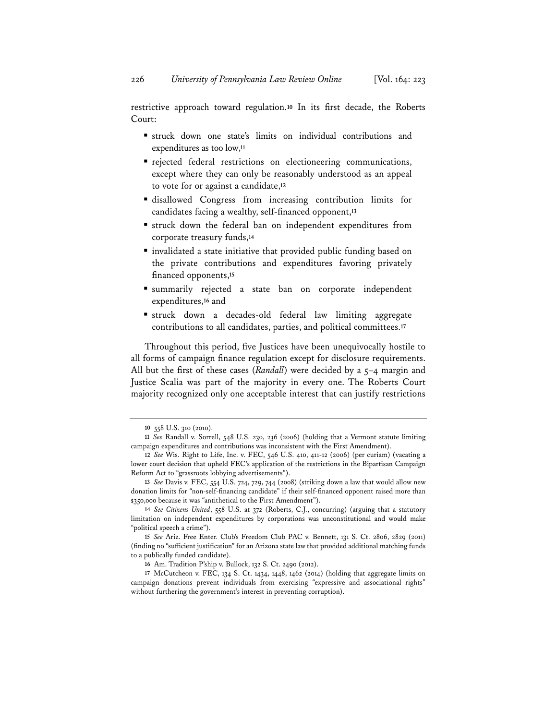restrictive approach toward regulation.**<sup>10</sup>** In its first decade, the Roberts Court:

- struck down one state's limits on individual contributions and expenditures as too low,**<sup>11</sup>**
- rejected federal restrictions on electioneering communications, except where they can only be reasonably understood as an appeal to vote for or against a candidate,**<sup>12</sup>**
- disallowed Congress from increasing contribution limits for candidates facing a wealthy, self-financed opponent,**<sup>13</sup>**
- struck down the federal ban on independent expenditures from corporate treasury funds,**<sup>14</sup>**
- invalidated a state initiative that provided public funding based on the private contributions and expenditures favoring privately financed opponents,**<sup>15</sup>**
- summarily rejected a state ban on corporate independent expenditures,**<sup>16</sup>** and
- struck down a decades-old federal law limiting aggregate contributions to all candidates, parties, and political committees.**<sup>17</sup>**

Throughout this period, five Justices have been unequivocally hostile to all forms of campaign finance regulation except for disclosure requirements. All but the first of these cases (*Randall*) were decided by a 5-4 margin and Justice Scalia was part of the majority in every one. The Roberts Court majority recognized only one acceptable interest that can justify restrictions

**<sup>10</sup>** 558 U.S. 310 (2010).

**<sup>11</sup>** *See* Randall v. Sorrell, 548 U.S. 230, 236 (2006) (holding that a Vermont statute limiting campaign expenditures and contributions was inconsistent with the First Amendment).

**<sup>12</sup>** *See* Wis. Right to Life, Inc. v. FEC, 546 U.S. 410, 411-12 (2006) (per curiam) (vacating a lower court decision that upheld FEC's application of the restrictions in the Bipartisan Campaign Reform Act to "grassroots lobbying advertisements").

**<sup>13</sup>** *See* Davis v. FEC, 554 U.S. 724, 729, 744 (2008) (striking down a law that would allow new donation limits for "non-self-financing candidate" if their self-financed opponent raised more than \$350,000 because it was "antithetical to the First Amendment").

**<sup>14</sup>** *See Citizens United*, 558 U.S. at 372 (Roberts, C.J., concurring) (arguing that a statutory limitation on independent expenditures by corporations was unconstitutional and would make "political speech a crime").

**<sup>15</sup>** *See* Ariz. Free Enter. Club's Freedom Club PAC v. Bennett, 131 S. Ct. 2806, 2829 (2011) (finding no "sufficient justification" for an Arizona state law that provided additional matching funds to a publically funded candidate).

**<sup>16</sup>** Am. Tradition P'ship v. Bullock, 132 S. Ct. 2490 (2012).

**<sup>17</sup>** McCutcheon v. FEC, 134 S. Ct. 1434, 1448, 1462 (2014) (holding that aggregate limits on campaign donations prevent individuals from exercising "expressive and associational rights" without furthering the government's interest in preventing corruption).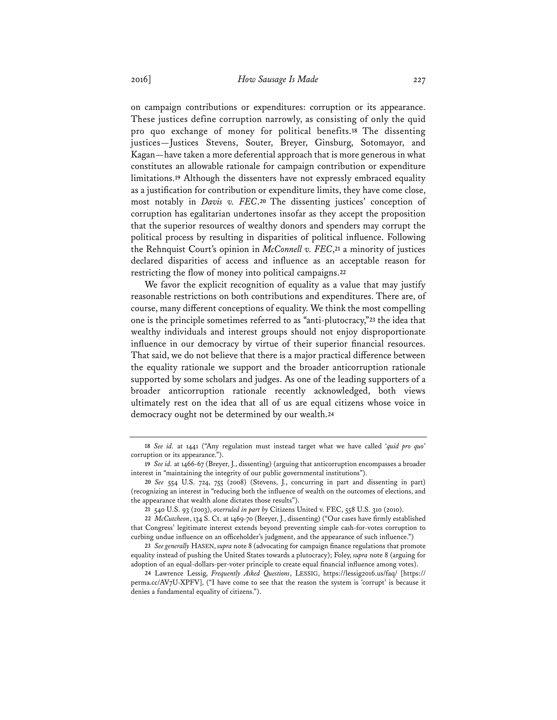on campaign contributions or expenditures: corruption or its appearance. These justices define corruption narrowly, as consisting of only the quid pro quo exchange of money for political benefits.**<sup>18</sup>** The dissenting justices—Justices Stevens, Souter, Breyer, Ginsburg, Sotomayor, and Kagan—have taken a more deferential approach that is more generous in what constitutes an allowable rationale for campaign contribution or expenditure limitations.**<sup>19</sup>** Although the dissenters have not expressly embraced equality as a justification for contribution or expenditure limits, they have come close, most notably in *Davis v. FEC*.**<sup>20</sup>** The dissenting justices' conception of corruption has egalitarian undertones insofar as they accept the proposition that the superior resources of wealthy donors and spenders may corrupt the political process by resulting in disparities of political influence. Following the Rehnquist Court's opinion in *McConnell v. FEC*,**<sup>21</sup>** a minority of justices declared disparities of access and influence as an acceptable reason for restricting the flow of money into political campaigns.**<sup>22</sup>**

We favor the explicit recognition of equality as a value that may justify reasonable restrictions on both contributions and expenditures. There are, of course, many different conceptions of equality. We think the most compelling one is the principle sometimes referred to as "anti-plutocracy,"**<sup>23</sup>** the idea that wealthy individuals and interest groups should not enjoy disproportionate influence in our democracy by virtue of their superior financial resources. That said, we do not believe that there is a major practical difference between the equality rationale we support and the broader anticorruption rationale supported by some scholars and judges. As one of the leading supporters of a broader anticorruption rationale recently acknowledged, both views ultimately rest on the idea that all of us are equal citizens whose voice in democracy ought not be determined by our wealth.**<sup>24</sup>**

**<sup>18</sup>** *See id.* at 1441 ("Any regulation must instead target what we have called '*quid pro quo*' corruption or its appearance.").

**<sup>19</sup>** *See id.* at 1466-67 (Breyer, J., dissenting) (arguing that anticorruption encompasses a broader interest in "maintaining the integrity of our public governmental institutions").

**<sup>20</sup>** *See* 554 U.S. 724, 755 (2008) (Stevens, J., concurring in part and dissenting in part) (recognizing an interest in "reducing both the influence of wealth on the outcomes of elections, and the appearance that wealth alone dictates those results").

**<sup>21</sup>** 540 U.S. 93 (2003), *overruled in part by* Citizens United v. FEC, 558 U.S. 310 (2010).

**<sup>22</sup>** *McCutcheon*, 134 S. Ct. at 1469-70 (Breyer, J., dissenting) ("Our cases have firmly established that Congress' legitimate interest extends beyond preventing simple cash-for-votes corruption to curbing undue influence on an officeholder's judgment, and the appearance of such influence.")

**<sup>23</sup>** *See generally* HASEN, *supra* note 8 (advocating for campaign finance regulations that promote equality instead of pushing the United States towards a plutocracy); Foley, *supra* note 8 (arguing for adoption of an equal-dollars-per-voter principle to create equal financial influence among votes).

**<sup>24</sup>** Lawrence Lessig, *Frequently Asked Questions*, LESSIG, https://lessig2016.us/faq/ [https:// perma.cc/AV7U-XPFV], ("I have come to see that the reason the system is 'corrupt' is because it denies a fundamental equality of citizens.").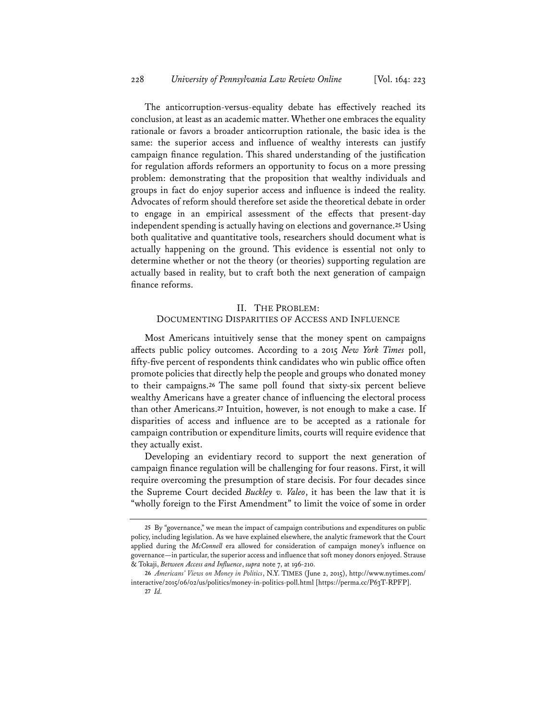The anticorruption-versus-equality debate has effectively reached its conclusion, at least as an academic matter. Whether one embraces the equality rationale or favors a broader anticorruption rationale, the basic idea is the same: the superior access and influence of wealthy interests can justify campaign finance regulation. This shared understanding of the justification for regulation affords reformers an opportunity to focus on a more pressing problem: demonstrating that the proposition that wealthy individuals and groups in fact do enjoy superior access and influence is indeed the reality. Advocates of reform should therefore set aside the theoretical debate in order to engage in an empirical assessment of the effects that present-day independent spending is actually having on elections and governance.**<sup>25</sup>** Using both qualitative and quantitative tools, researchers should document what is actually happening on the ground. This evidence is essential not only to determine whether or not the theory (or theories) supporting regulation are actually based in reality, but to craft both the next generation of campaign finance reforms.

## II. THE PROBLEM: DOCUMENTING DISPARITIES OF ACCESS AND INFLUENCE

Most Americans intuitively sense that the money spent on campaigns affects public policy outcomes. According to a 2015 *New York Times* poll, fifty-five percent of respondents think candidates who win public office often promote policies that directly help the people and groups who donated money to their campaigns.**<sup>26</sup>** The same poll found that sixty-six percent believe wealthy Americans have a greater chance of influencing the electoral process than other Americans.**<sup>27</sup>** Intuition, however, is not enough to make a case. If disparities of access and influence are to be accepted as a rationale for campaign contribution or expenditure limits, courts will require evidence that they actually exist.

Developing an evidentiary record to support the next generation of campaign finance regulation will be challenging for four reasons. First, it will require overcoming the presumption of stare decisis. For four decades since the Supreme Court decided *Buckley v. Valeo*, it has been the law that it is "wholly foreign to the First Amendment" to limit the voice of some in order

**<sup>25</sup>** By "governance," we mean the impact of campaign contributions and expenditures on public policy, including legislation. As we have explained elsewhere, the analytic framework that the Court applied during the *McConnell* era allowed for consideration of campaign money's influence on governance—in particular, the superior access and influence that soft money donors enjoyed. Strause & Tokaji, *Between Access and Influence*, *supra* note 7, at 196-210.

**<sup>26</sup>** *Americans' Views on Money in Politics*, N.Y. TIMES (June 2, 2015), http://www.nytimes.com/ interactive/2015/06/02/us/politics/money-in-politics-poll.html [https://perma.cc/P63T-RPFP]. **27** *Id.*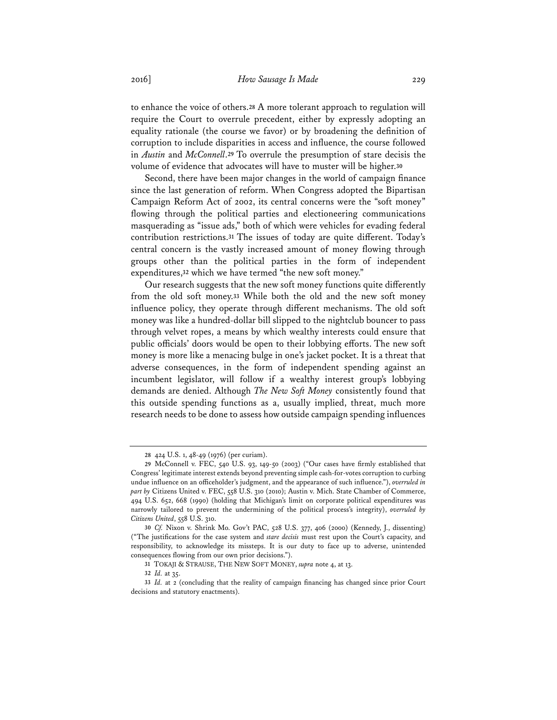to enhance the voice of others.**<sup>28</sup>** A more tolerant approach to regulation will require the Court to overrule precedent, either by expressly adopting an equality rationale (the course we favor) or by broadening the definition of corruption to include disparities in access and influence, the course followed in *Austin* and *McConnell*.**<sup>29</sup>** To overrule the presumption of stare decisis the volume of evidence that advocates will have to muster will be higher.**<sup>30</sup>**

Second, there have been major changes in the world of campaign finance since the last generation of reform. When Congress adopted the Bipartisan Campaign Reform Act of 2002, its central concerns were the "soft money" flowing through the political parties and electioneering communications masquerading as "issue ads," both of which were vehicles for evading federal contribution restrictions.**<sup>31</sup>** The issues of today are quite different. Today's central concern is the vastly increased amount of money flowing through groups other than the political parties in the form of independent expenditures,**<sup>32</sup>** which we have termed "the new soft money."

Our research suggests that the new soft money functions quite differently from the old soft money.**<sup>33</sup>** While both the old and the new soft money influence policy, they operate through different mechanisms. The old soft money was like a hundred-dollar bill slipped to the nightclub bouncer to pass through velvet ropes, a means by which wealthy interests could ensure that public officials' doors would be open to their lobbying efforts. The new soft money is more like a menacing bulge in one's jacket pocket. It is a threat that adverse consequences, in the form of independent spending against an incumbent legislator, will follow if a wealthy interest group's lobbying demands are denied. Although *The New Soft Money* consistently found that this outside spending functions as a, usually implied, threat, much more research needs to be done to assess how outside campaign spending influences

**<sup>28</sup>** 424 U.S. 1, 48-49 (1976) (per curiam).

**<sup>29</sup>** McConnell v. FEC, 540 U.S. 93, 149-50 (2003) ("Our cases have firmly established that Congress' legitimate interest extends beyond preventing simple cash-for-votes corruption to curbing undue influence on an officeholder's judgment, and the appearance of such influence."), *overruled in part by* Citizens United v. FEC, 558 U.S. 310 (2010); Austin v. Mich. State Chamber of Commerce, 494 U.S. 652, 668 (1990) (holding that Michigan's limit on corporate political expenditures was narrowly tailored to prevent the undermining of the political process's integrity), *overruled by Citizens United*, 558 U.S. 310.

**<sup>30</sup>** *Cf.* Nixon v. Shrink Mo. Gov't PAC, 528 U.S. 377, 406 (2000) (Kennedy, J., dissenting) ("The justifications for the case system and *stare decisis* must rest upon the Court's capacity, and responsibility, to acknowledge its missteps. It is our duty to face up to adverse, unintended consequences flowing from our own prior decisions.").

**<sup>31</sup>** TOKAJI & STRAUSE, THE NEW SOFT MONEY, *supra* note 4, at 13.

**<sup>32</sup>** *Id.* at 35.

**<sup>33</sup>** *Id.* at 2 (concluding that the reality of campaign financing has changed since prior Court decisions and statutory enactments).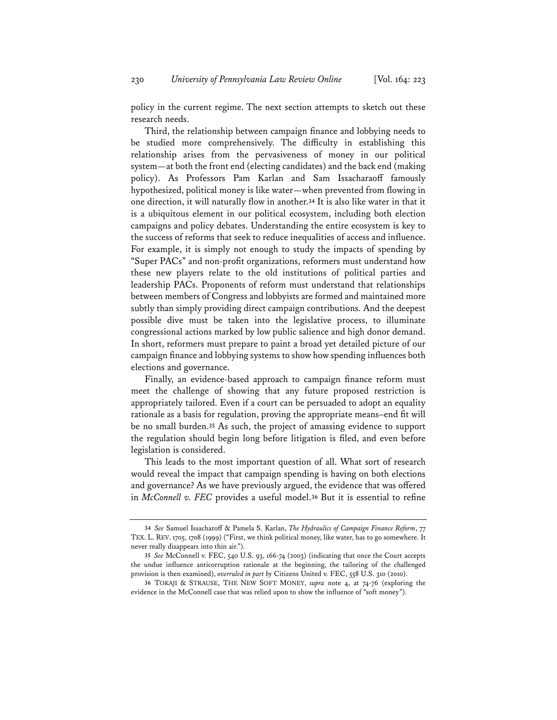policy in the current regime. The next section attempts to sketch out these research needs.

Third, the relationship between campaign finance and lobbying needs to be studied more comprehensively. The difficulty in establishing this relationship arises from the pervasiveness of money in our political system—at both the front end (electing candidates) and the back end (making policy). As Professors Pam Karlan and Sam Issacharaoff famously hypothesized, political money is like water—when prevented from flowing in one direction, it will naturally flow in another.**<sup>34</sup>** It is also like water in that it is a ubiquitous element in our political ecosystem, including both election campaigns and policy debates. Understanding the entire ecosystem is key to the success of reforms that seek to reduce inequalities of access and influence. For example, it is simply not enough to study the impacts of spending by "Super PACs" and non-profit organizations, reformers must understand how these new players relate to the old institutions of political parties and leadership PACs. Proponents of reform must understand that relationships between members of Congress and lobbyists are formed and maintained more subtly than simply providing direct campaign contributions. And the deepest possible dive must be taken into the legislative process, to illuminate congressional actions marked by low public salience and high donor demand. In short, reformers must prepare to paint a broad yet detailed picture of our campaign finance and lobbying systems to show how spending influences both elections and governance.

Finally, an evidence-based approach to campaign finance reform must meet the challenge of showing that any future proposed restriction is appropriately tailored. Even if a court can be persuaded to adopt an equality rationale as a basis for regulation, proving the appropriate means–end fit will be no small burden.**<sup>35</sup>** As such, the project of amassing evidence to support the regulation should begin long before litigation is filed, and even before legislation is considered.

This leads to the most important question of all. What sort of research would reveal the impact that campaign spending is having on both elections and governance? As we have previously argued, the evidence that was offered in *McConnell v. FEC* provides a useful model.**<sup>36</sup>** But it is essential to refine

**<sup>34</sup>** *See* Samuel Issacharoff & Pamela S. Karlan, *The Hydraulics of Campaign Finance Reform*, 77 TEX. L. REV. 1705, 1708 (1999) ("First, we think political money, like water, has to go somewhere. It never really disappears into thin air.").

**<sup>35</sup>** *See* McConnell v. FEC, 540 U.S. 93, 166-74 (2003) (indicating that once the Court accepts the undue influence anticorruption rationale at the beginning, the tailoring of the challenged provision is then examined), *overruled in part by* Citizens United v. FEC, 558 U.S. 310 (2010).

**<sup>36</sup>** TOKAJI & STRAUSE, THE NEW SOFT MONEY, *supra* note 4, at 74-76 (exploring the evidence in the McConnell case that was relied upon to show the influence of "soft money").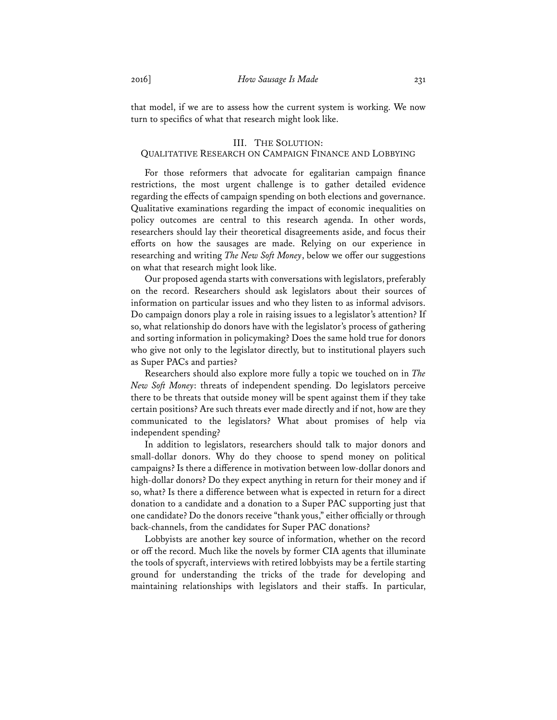that model, if we are to assess how the current system is working. We now turn to specifics of what that research might look like.

## III. THE SOLUTION: QUALITATIVE RESEARCH ON CAMPAIGN FINANCE AND LOBBYING

For those reformers that advocate for egalitarian campaign finance restrictions, the most urgent challenge is to gather detailed evidence regarding the effects of campaign spending on both elections and governance. Qualitative examinations regarding the impact of economic inequalities on policy outcomes are central to this research agenda. In other words, researchers should lay their theoretical disagreements aside, and focus their efforts on how the sausages are made. Relying on our experience in researching and writing *The New Soft Money*, below we offer our suggestions on what that research might look like.

Our proposed agenda starts with conversations with legislators, preferably on the record. Researchers should ask legislators about their sources of information on particular issues and who they listen to as informal advisors. Do campaign donors play a role in raising issues to a legislator's attention? If so, what relationship do donors have with the legislator's process of gathering and sorting information in policymaking? Does the same hold true for donors who give not only to the legislator directly, but to institutional players such as Super PACs and parties?

Researchers should also explore more fully a topic we touched on in *The New Soft Money*: threats of independent spending. Do legislators perceive there to be threats that outside money will be spent against them if they take certain positions? Are such threats ever made directly and if not, how are they communicated to the legislators? What about promises of help via independent spending?

In addition to legislators, researchers should talk to major donors and small-dollar donors. Why do they choose to spend money on political campaigns? Is there a difference in motivation between low-dollar donors and high-dollar donors? Do they expect anything in return for their money and if so, what? Is there a difference between what is expected in return for a direct donation to a candidate and a donation to a Super PAC supporting just that one candidate? Do the donors receive "thank yous," either officially or through back-channels, from the candidates for Super PAC donations?

Lobbyists are another key source of information, whether on the record or off the record. Much like the novels by former CIA agents that illuminate the tools of spycraft, interviews with retired lobbyists may be a fertile starting ground for understanding the tricks of the trade for developing and maintaining relationships with legislators and their staffs. In particular,